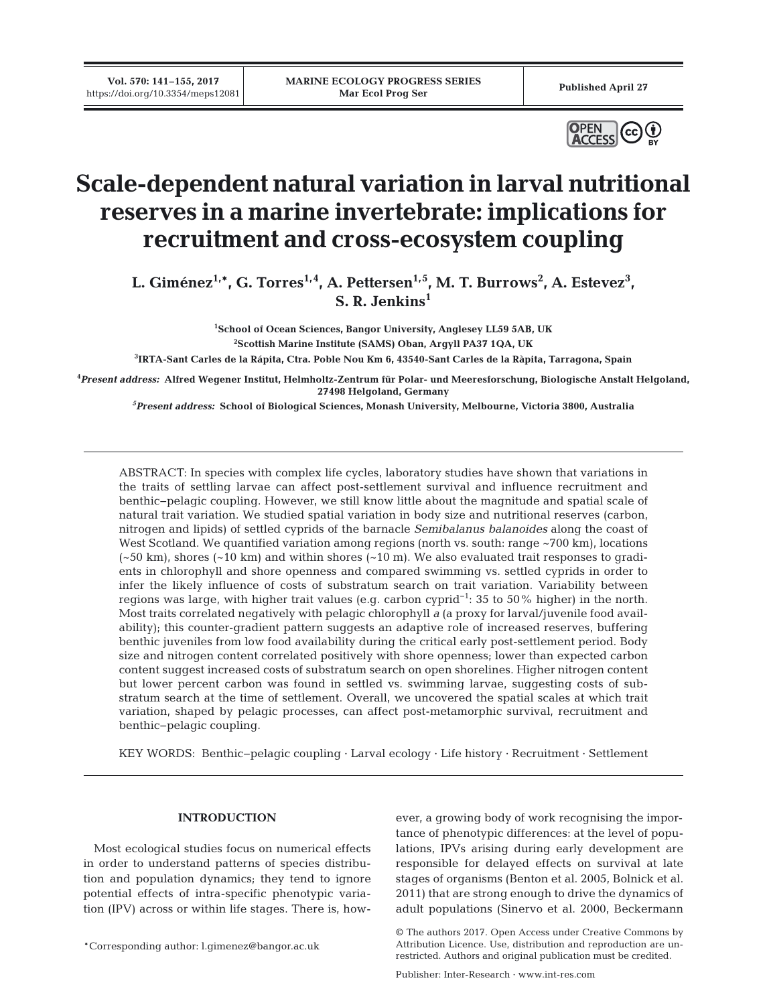**Vol. 570: 141–155, 2017**



# **Scale-dependent natural variation in larval nutritional reserves in a marine invertebrate: implications for recruitment and cross-ecosystem coupling**

L. Giménez<sup>1,\*</sup>, G. Torres<sup>1,4</sup>, A. Pettersen<sup>1,5</sup>, M. T. Burrows<sup>2</sup>, A. Estevez<sup>3</sup>, **S. R. Jenkins1**

> **1 School of Ocean Sciences, Bangor University, Anglesey LL59 5AB, UK 2 Scottish Marine Institute (SAMS) Oban, Argyll PA37 1QA, UK**

**3 IRTA-Sant Carles de la Rápita, Ctra. Poble Nou Km 6, 43540-Sant Carles de la Ràpita, Tarragona, Spain**

**4** *Present address:* **Alfred Wegener Institut, Helmholtz-Zentrum für Polar- und Meeresforschung, Biologische Anstalt Helgoland, 27498 Helgoland, Germany**

*5 Present address:* **School of Biological Sciences, Monash University, Melbourne, Victoria 3800, Australia**

ABSTRACT: In species with complex life cycles, laboratory studies have shown that variations in the traits of settling larvae can affect post-settlement survival and influence recruitment and benthic− pelagic coupling. However, we still know little about the magnitude and spatial scale of natural trait variation. We studied spatial variation in body size and nutritional reserves (carbon, nitrogen and lipids) of settled cyprids of the barnacle *Semibalanus balanoides* along the coast of West Scotland. We quantified variation among regions (north vs. south: range ~700 km), locations  $(-50 \text{ km})$ , shores  $(-10 \text{ km})$  and within shores  $(-10 \text{ m})$ . We also evaluated trait responses to gradients in chlorophyll and shore openness and compared swimming vs. settled cyprids in order to infer the likely influence of costs of substratum search on trait variation. Variability between regions was large, with higher trait values (e.g. carbon cyprid−1: 35 to 50% higher) in the north. Most traits correlated negatively with pelagic chlorophyll *a* (a proxy for larval/juvenile food availability); this counter-gradient pattern suggests an adaptive role of increased reserves, buffering benthic juveniles from low food availability during the critical early post-settlement period. Body size and nitrogen content correlated positively with shore openness; lower than expected carbon content suggest increased costs of substratum search on open shorelines. Higher nitrogen content but lower percent carbon was found in settled vs. swimming larvae, suggesting costs of sub stratum search at the time of settlement. Overall, we uncovered the spatial scales at which trait variation, shaped by pelagic processes, can affect post-metamorphic survival, recruitment and benthic−pelagic coupling.

KEY WORDS: Benthic−pelagic coupling · Larval ecology · Life history · Recruitment · Settlement

# **INTRODUCTION**

Most ecological studies focus on numerical effects in order to understand patterns of species distribution and population dynamics; they tend to ignore potential effects of intra-specific phenotypic variation (IPV) across or within life stages. There is, how-

\*Corresponding author: l.gimenez@bangor.ac.uk

ever, a growing body of work recognising the importance of phenotypic differences: at the level of populations, IPVs arising during early development are responsible for delayed effects on survival at late stages of organisms (Benton et al. 2005, Bolnick et al. 2011) that are strong enough to drive the dynamics of adult populations (Sinervo et al. 2000, Beckermann

Publisher: Inter-Research · www.int-res.com

<sup>©</sup> The authors 2017. Open Access under Creative Commons by Attribution Licence. Use, distribution and reproduction are unrestricted. Authors and original publication must be credited.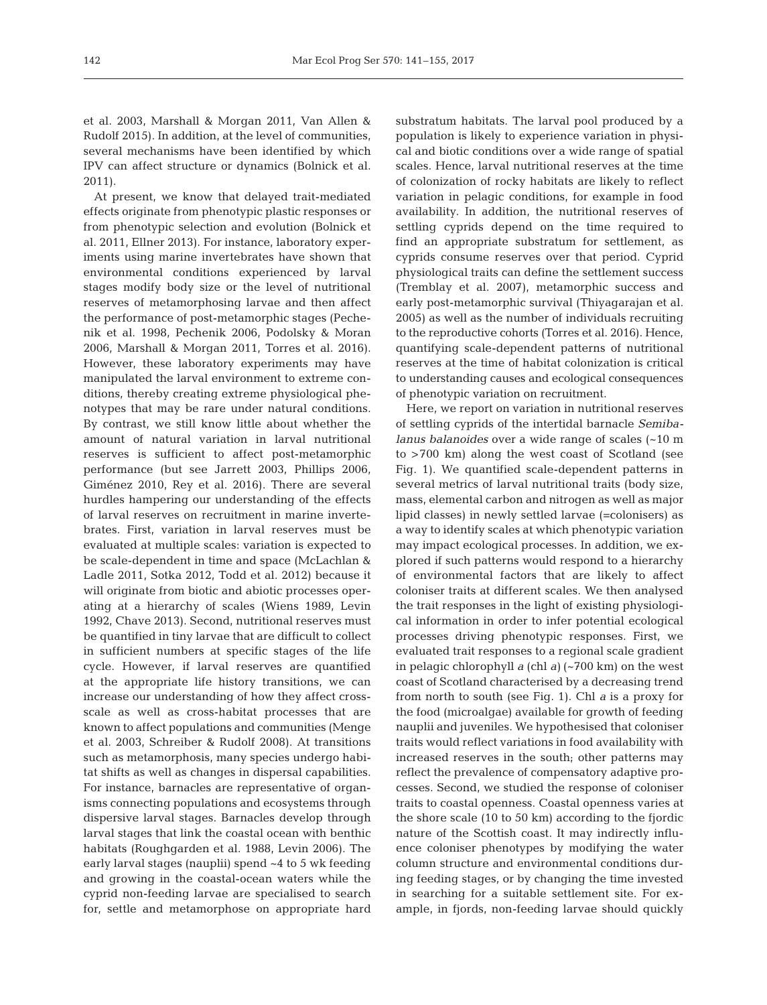et al. 2003, Marshall & Morgan 2011, Van Allen & Rudolf 2015). In addition, at the level of communities, several mechanisms have been identified by which IPV can affect structure or dynamics (Bolnick et al. 2011).

At present, we know that delayed trait-mediated effects originate from phenotypic plastic responses or from phenotypic selection and evolution (Bolnick et al. 2011, Ellner 2013). For instance, laboratory experiments using marine invertebrates have shown that environmental conditions experienced by larval stages modify body size or the level of nutritional reserves of metamorphosing larvae and then affect the performance of post-metamorphic stages (Peche nik et al. 1998, Pechenik 2006, Podolsky & Moran 2006, Marshall & Morgan 2011, Torres et al. 2016). However, these laboratory experiments may have manipulated the larval environment to extreme conditions, thereby creating extreme physiological phenotypes that may be rare under natural conditions. By contrast, we still know little about whether the amount of natural variation in larval nutritional reserves is sufficient to affect post-metamorphic performance (but see Jarrett 2003, Phillips 2006, Giménez 2010, Rey et al. 2016). There are several hurdles hampering our understanding of the effects of larval reserves on recruitment in marine invertebrates. First, variation in larval reserves must be evaluated at multiple scales: variation is expected to be scale-dependent in time and space (McLachlan & Ladle 2011, Sotka 2012, Todd et al. 2012) because it will originate from biotic and abiotic processes operating at a hierarchy of scales (Wiens 1989, Levin 1992, Chave 2013). Second, nutritional reserves must be quantified in tiny larvae that are difficult to collect in sufficient numbers at specific stages of the life cycle. However, if larval reserves are quantified at the appropriate life history transitions, we can increase our understanding of how they affect crossscale as well as cross-habitat processes that are known to affect populations and communities (Menge et al. 2003, Schreiber & Rudolf 2008). At transitions such as metamorphosis, many species undergo habitat shifts as well as changes in dispersal capabilities. For instance, barnacles are representative of organisms connecting populations and ecosystems through dispersive larval stages. Barnacles develop through larval stages that link the coastal ocean with benthic habitats (Roughgarden et al. 1988, Levin 2006). The early larval stages (nauplii) spend ~4 to 5 wk feeding and growing in the coastal-ocean waters while the cyprid non-feeding larvae are specialised to search for, settle and metamorphose on appropriate hard

substratum habitats. The larval pool produced by a population is likely to experience variation in physical and biotic conditions over a wide range of spatial scales. Hence, larval nutritional reserves at the time of colonization of rocky habitats are likely to reflect variation in pelagic conditions, for example in food availability. In addition, the nutritional reserves of settling cyprids depend on the time required to find an appropriate substratum for settlement, as cyprids consume reserves over that period. Cyprid physiological traits can define the settlement success (Tremblay et al. 2007), metamorphic success and early post-metamorphic survival (Thiyagarajan et al. 2005) as well as the number of individuals recruiting to the reproductive cohorts (Torres et al. 2016). Hence, quantifying scale-dependent patterns of nutritional reserves at the time of habitat colonization is critical to understanding causes and ecological consequences of phenotypic variation on recruitment.

Here, we report on variation in nutritional reserves of settling cyprids of the intertidal barnacle *Semiba lanus balanoides* over a wide range of scales (~10 m to >700 km) along the west coast of Scotland (see Fig. 1). We quantified scale-dependent patterns in several metrics of larval nutritional traits (body size, mass, elemental carbon and nitrogen as well as major lipid classes) in newly settled larvae (=colonisers) as a way to identify scales at which phenotypic variation may impact ecological processes. In addition, we ex plored if such patterns would respond to a hierarchy of environmental factors that are likely to affect coloniser traits at different scales. We then analysed the trait responses in the light of existing physiological information in order to infer potential ecological processes driving phenotypic responses. First, we evaluated trait responses to a regional scale gradient in pelagic chlorophyll *a* (chl *a)* (~700 km) on the west coast of Scotland characterised by a decreasing trend from north to south (see Fig. 1). Chl *a* is a proxy for the food (microalgae) available for growth of feeding nauplii and juveniles. We hypothesised that coloniser traits would reflect variations in food availability with increased reserves in the south; other patterns may reflect the prevalence of compensatory adaptive processes. Second, we studied the response of coloniser traits to coastal openness. Coastal openness varies at the shore scale (10 to 50 km) according to the fjordic nature of the Scottish coast. It may indirectly influence coloniser phenotypes by modifying the water column structure and environmental conditions during feeding stages, or by changing the time invested in searching for a suitable settlement site. For example, in fjords, non-feeding larvae should quickly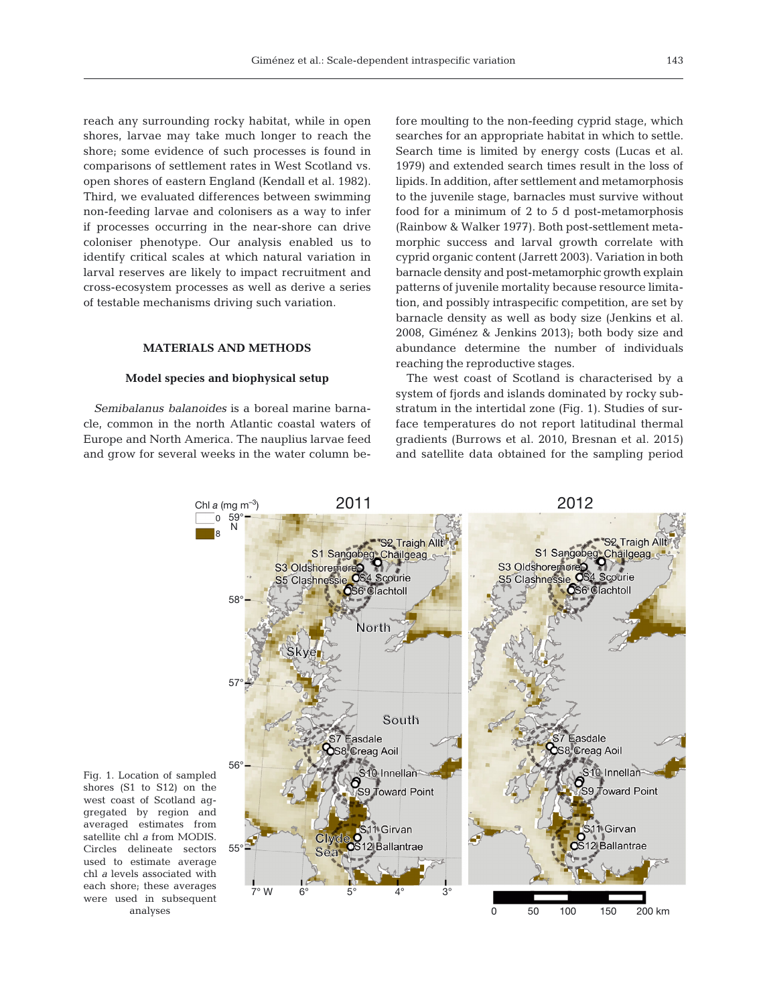reach any surrounding rocky habitat, while in open shores, larvae may take much longer to reach the shore; some evidence of such processes is found in comparisons of settlement rates in West Scotland vs. open shores of eastern England (Kendall et al. 1982). Third, we evaluated differences between swimming non-feeding larvae and colonisers as a way to infer if processes occurring in the near-shore can drive coloniser phenotype. Our analysis enabled us to identify critical scales at which natural variation in larval reserves are likely to impact recruitment and cross-ecosystem processes as well as derive a series of testable mechanisms driving such variation.

# **MATERIALS AND METHODS**

# **Model species and biophysical setup**

*Semibalanus balanoides* is a boreal marine barnacle, common in the north Atlantic coastal waters of Europe and North America. The nauplius larvae feed and grow for several weeks in the water column before moulting to the non-feeding cyprid stage, which searches for an appropriate habitat in which to settle. Search time is limited by energy costs (Lucas et al. 1979) and extended search times result in the loss of lipids. In addition, after settlement and metamorphosis to the juvenile stage, barnacles must survive without food for a minimum of 2 to 5 d post-metamorphosis (Rainbow & Walker 1977). Both post-settlement metamorphic success and larval growth correlate with cyprid organic content (Jarrett 2003). Variation in both barnacle density and post-metamorphic growth explain patterns of juvenile mortality because resource limitation, and possibly intraspecific competition, are set by barnacle density as well as body size (Jenkins et al. 2008, Giménez & Jenkins 2013); both body size and abundance determine the number of individuals reaching the reproductive stages.

The west coast of Scotland is characterised by a system of fjords and islands dominated by rocky substratum in the intertidal zone (Fig. 1). Studies of surface temperatures do not report latitudinal thermal gradients (Burrows et al. 2010, Bresnan et al. 2015) and satellite data obtained for the sampling period



Fig. 1. Location of sampled shores (S1 to S12) on the west coast of Scotland aggregated by region and averaged estimates from satellite chl *a* from MODIS. Circles delineate sectors used to estimate average chl *a* levels associated with each shore; these averages were used in subsequent analyses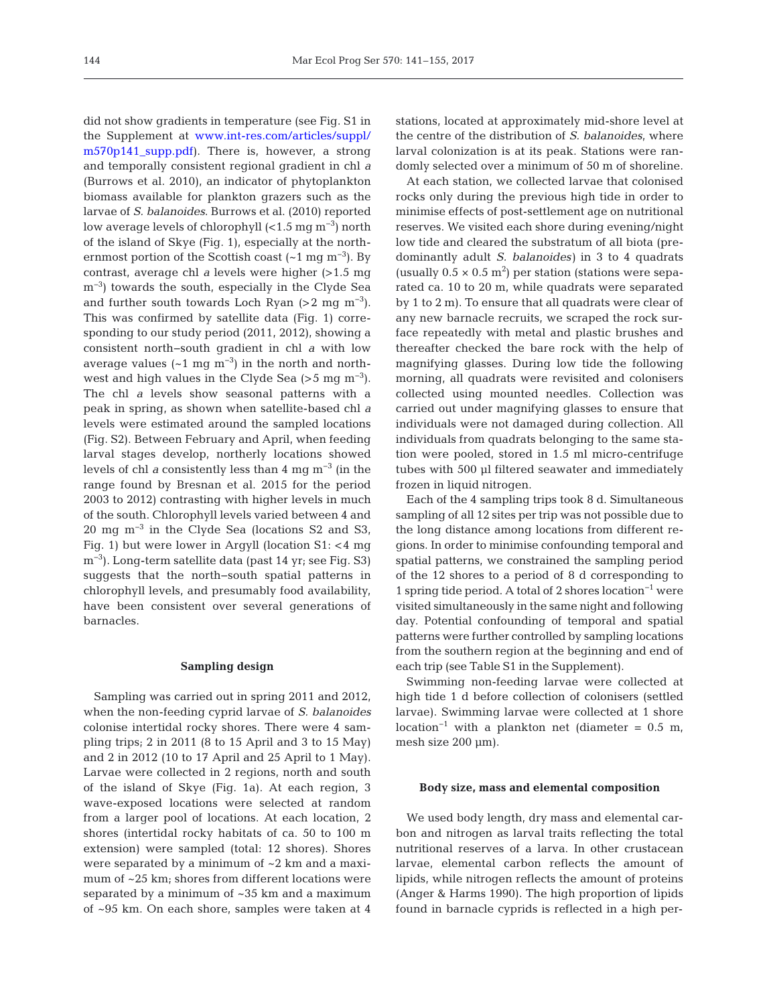did not show gradients in temperature (see Fig. S1 in the Supplement at www.int-res.com/articles/suppl/ [m570p141\\_supp.pdf\)](http://www.int-res.com/articles/suppl/m570p141_supp.pdf). There is, however, a strong and temporally consistent regional gradient in chl *a* (Burrows et al. 2010), an indicator of phytoplankton biomass available for plankton grazers such as the larvae of *S. balanoides*. Burrows et al. (2010) reported low average levels of chlorophyll (<1.5 mg m−3) north of the island of Skye (Fig. 1), especially at the northernmost portion of the Scottish coast  $({\sim}1 \text{ mg m}^{-3})$ . By contrast, average chl *a* levels were higher (>1.5 mg m<sup>-3</sup>) towards the south, especially in the Clyde Sea and further south towards Loch Ryan  $(>2 \text{ mg m}^{-3})$ . This was confirmed by satellite data (Fig. 1) corresponding to our study period (2011, 2012), showing a consistent north−south gradient in chl *a* with low average values  $(-1 \text{ mg m}^{-3})$  in the north and northwest and high values in the Clyde Sea ( $>$ 5 mg m<sup>-3</sup>). The chl *a* levels show seasonal patterns with a peak in spring, as shown when satellite-based chl *a* levels were estimated around the sampled locations (Fig. S2). Between February and April, when feeding larval stages develop, northerly locations showed levels of chl *a* consistently less than 4 mg m−3 (in the range found by Bresnan et al. 2015 for the period 2003 to 2012) contrasting with higher levels in much of the south. Chlorophyll levels varied between 4 and 20 mg m−3 in the Clyde Sea (locations S2 and S3, Fig. 1) but were lower in Argyll (location S1: <4 mg m<sup>-3</sup>). Long-term satellite data (past 14 yr; see Fig. S3) suggests that the north− south spatial patterns in chlorophyll levels, and presumably food availability, have been consistent over several generations of barnacles.

# **Sampling design**

Sampling was carried out in spring 2011 and 2012, when the non-feeding cyprid larvae of *S. balanoides* colonise intertidal rocky shores. There were 4 sampling trips; 2 in 2011 (8 to 15 April and 3 to 15 May) and 2 in 2012 (10 to 17 April and 25 April to 1 May). Larvae were collected in 2 regions, north and south of the island of Skye (Fig. 1a). At each region, 3 wave-exposed locations were selected at random from a larger pool of locations. At each location, 2 shores (intertidal rocky habitats of ca. 50 to 100 m extension) were sampled (total: 12 shores). Shores were separated by a minimum of ~2 km and a maximum of ~25 km; shores from different locations were separated by a minimum of ~35 km and a maximum of ~95 km. On each shore, samples were taken at 4

stations, located at approximately mid-shore level at the centre of the distribution of *S. balanoides*, where larval colonization is at its peak. Stations were randomly selected over a minimum of 50 m of shoreline.

At each station, we collected larvae that colonised rocks only during the previous high tide in order to minimise effects of post-settlement age on nutritional reserves. We visited each shore during evening/night low tide and cleared the substratum of all biota (predominantly adult *S. balanoides)* in 3 to 4 quadrats (usually  $0.5 \times 0.5$  m<sup>2</sup>) per station (stations were separated ca. 10 to 20 m, while quadrats were separated by 1 to 2 m). To ensure that all quadrats were clear of any new barnacle recruits, we scraped the rock surface repeatedly with metal and plastic brushes and thereafter checked the bare rock with the help of magnifying glasses. During low tide the following morning, all quadrats were revisited and colonisers collected using mounted needles. Collection was carried out under magnifying glasses to ensure that individuals were not damaged during collection. All individuals from quadrats belonging to the same station were pooled, stored in 1.5 ml micro-centrifuge tubes with 500 µl filtered seawater and immediately frozen in liquid nitrogen.

Each of the 4 sampling trips took 8 d. Simultaneous sampling of all 12 sites per trip was not possible due to the long distance among locations from different regions. In order to minimise confounding temporal and spatial patterns, we constrained the sampling period of the 12 shores to a period of 8 d corresponding to 1 spring tide period. A total of 2 shores location−1 were visited simultaneously in the same night and following day. Potential confounding of temporal and spatial patterns were further controlled by sampling locations from the southern region at the beginning and end of each trip (see Table S1 in the Supplement).

Swimming non-feeding larvae were collected at high tide 1 d before collection of colonisers (settled larvae). Swimming larvae were collected at 1 shore location<sup>-1</sup> with a plankton net (diameter =  $0.5$  m, mesh size 200 µm).

## **Body size, mass and elemental composition**

We used body length, dry mass and elemental carbon and nitrogen as larval traits reflecting the total nutritional reserves of a larva. In other crustacean larvae, elemental carbon reflects the amount of lipids, while nitrogen reflects the amount of proteins (Anger & Harms 1990). The high proportion of lipids found in barnacle cyprids is reflected in a high per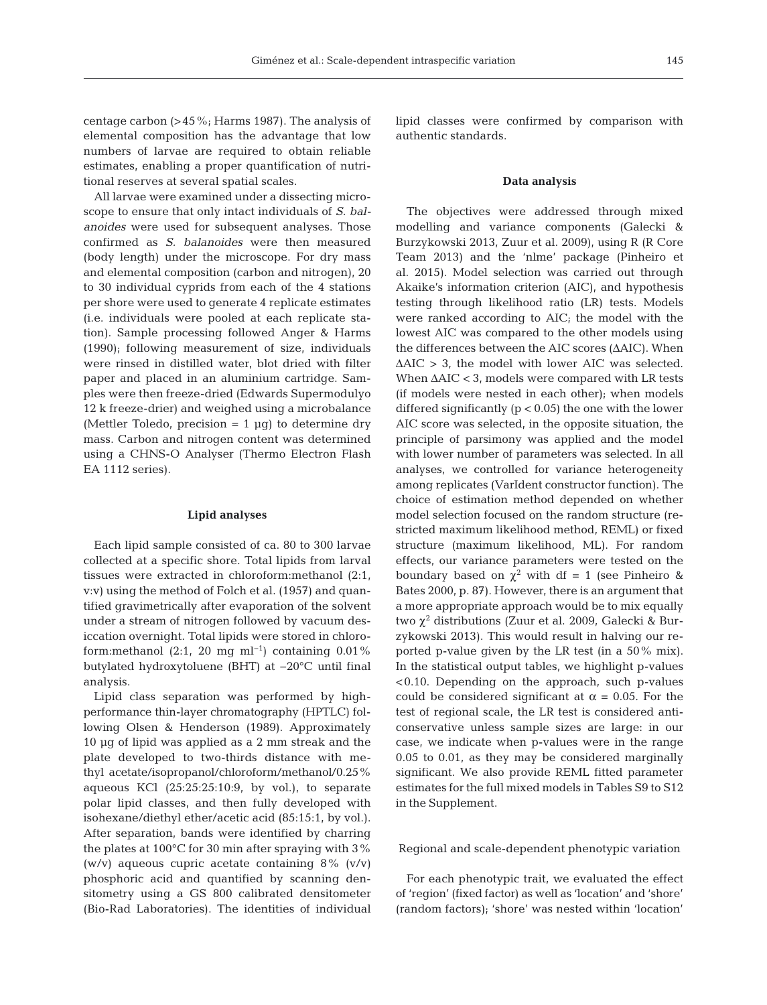centage carbon (>45%; Harms 1987). The analysis of elemental composition has the advantage that low numbers of larvae are required to obtain reliable estimates, enabling a proper quantification of nutritional reserves at several spatial scales.

All larvae were examined under a dissecting microscope to ensure that only intact individuals of *S. balanoides* were used for subsequent analyses. Those confirmed as *S. balanoides* were then measured (body length) under the microscope. For dry mass and elemental composition (carbon and nitrogen), 20 to 30 individual cyprids from each of the 4 stations per shore were used to generate 4 replicate estimates (i.e. individuals were pooled at each replicate station). Sample processing followed Anger & Harms (1990); following measurement of size, individuals were rinsed in distilled water, blot dried with filter paper and placed in an aluminium cartridge. Samples were then freeze-dried (Edwards Supermodulyo 12 k freeze-drier) and weighed using a microbalance (Mettler Toledo, precision  $= 1 \mu g$ ) to determine dry mass. Carbon and nitrogen content was determined using a CHNS-O Analyser (Thermo Electron Flash EA 1112 series).

#### **Lipid analyses**

Each lipid sample consisted of ca. 80 to 300 larvae collected at a specific shore. Total lipids from larval tissues were extracted in chloroform:methanol (2:1, v:v) using the method of Folch et al. (1957) and quantified gravimetrically after evaporation of the solvent under a stream of nitrogen followed by vacuum desiccation overnight. Total lipids were stored in chloroform:methanol (2:1, 20 mg ml<sup>-1</sup>) containing 0.01% butylated hydroxytoluene (BHT) at −20°C until final analysis.

Lipid class separation was performed by highperformance thin-layer chromatography (HPTLC) following Olsen & Henderson (1989). Approximately 10 µg of lipid was applied as a 2 mm streak and the plate developed to two-thirds distance with me thyl acetate/isopropanol/chloroform/methanol/0.25% aqueous KCl (25:25:25:10:9, by vol.), to separate polar lipid classes, and then fully developed with isohexane/diethyl ether/acetic acid (85:15:1, by vol.). After separation, bands were identified by charring the plates at 100°C for 30 min after spraying with 3% (w/v) aqueous cupric acetate containing 8% (v/v) phosphoric acid and quantified by scanning densitometry using a GS 800 calibrated densitometer (Bio-Rad Laboratories). The identities of individual lipid classes were confirmed by comparison with authentic standards.

#### **Data analysis**

The objectives were addressed through mixed modelling and variance components (Galecki & Burzykowski 2013, Zuur et al. 2009), using R (R Core Team 2013) and the 'nlme' package (Pinheiro et al. 2015). Model selection was carried out through Akaike's information criterion (AIC), and hypothesis testing through likelihood ratio (LR) tests. Models were ranked according to AIC; the model with the lowest AIC was compared to the other models using the differences between the AIC scores (ΔAIC). When  $\triangle AIC > 3$ , the model with lower AIC was selected. When ΔAIC < 3, models were compared with LR tests (if models were nested in each other); when models differed significantly  $(p < 0.05)$  the one with the lower AIC score was selected, in the opposite situation, the principle of parsimony was applied and the model with lower number of parameters was selected. In all analyses, we controlled for variance heterogeneity among replicates (VarIdent constructor function). The choice of estimation method depended on whether model selection focused on the random structure (restricted maximum likelihood method, REML) or fixed structure (maximum likelihood, ML). For random effects, our variance parameters were tested on the boundary based on  $\chi^2$  with df = 1 (see Pinheiro & Bates 2000, p. 87). However, there is an argument that a more appropriate approach would be to mix equally two  $\chi^2$  distributions (Zuur et al. 2009, Galecki & Burzykowski 2013). This would result in halving our reported p-value given by the LR test (in a 50% mix). In the statistical output tables, we highlight p-values <0.10. Depending on the approach, such p-values could be considered significant at  $\alpha = 0.05$ . For the test of regional scale, the LR test is considered anticonservative unless sample sizes are large: in our case, we indicate when p-values were in the range 0.05 to 0.01, as they may be considered marginally significant. We also provide REML fitted parameter estimates for the full mixed models in Tables S9 to S12 in the Supplement.

#### Regional and scale-dependent phenotypic variation

For each phenotypic trait, we evaluated the effect of 'region' (fixed factor) as well as 'location' and 'shore' (random factors); 'shore' was nested within 'location'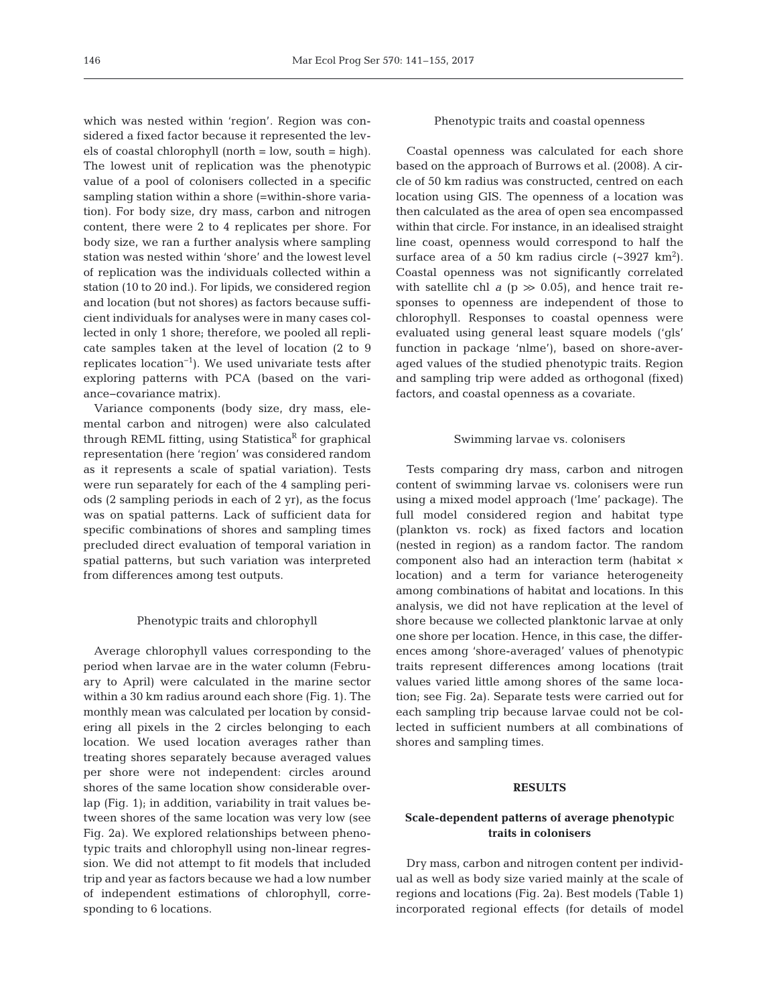which was nested within 'region'. Region was considered a fixed factor because it represented the levels of coastal chlorophyll (north = low, south = high). The lowest unit of replication was the phenotypic value of a pool of colonisers collected in a specific sampling station within a shore (=within-shore variation). For body size, dry mass, carbon and nitrogen content, there were 2 to 4 replicates per shore. For body size, we ran a further analysis where sampling station was nested within 'shore' and the lowest level of replication was the individuals collected within a station (10 to 20 ind.). For lipids, we considered region and location (but not shores) as factors because sufficient individuals for analyses were in many cases collected in only 1 shore; therefore, we pooled all replicate samples taken at the level of location (2 to 9 replicates location−1). We used univariate tests after exploring patterns with PCA (based on the variance−covariance matrix).

Variance components (body size, dry mass, elemental carbon and nitrogen) were also calculated through REML fitting, using Statistica<sup>R</sup> for graphical representation (here 'region' was considered random as it represents a scale of spatial variation). Tests were run separately for each of the 4 sampling periods (2 sampling periods in each of 2 yr), as the focus was on spatial patterns. Lack of sufficient data for specific combinations of shores and sampling times precluded direct evaluation of temporal variation in spatial patterns, but such variation was interpreted from differences among test outputs.

### Phenotypic traits and chlorophyll

Average chlorophyll values corresponding to the period when larvae are in the water column (February to April) were calculated in the marine sector within a 30 km radius around each shore (Fig. 1). The monthly mean was calculated per location by considering all pixels in the 2 circles belonging to each location. We used location averages rather than treating shores separately because averaged values per shore were not independent: circles around shores of the same location show considerable overlap (Fig. 1); in addition, variability in trait values be tween shores of the same location was very low (see Fig. 2a). We explored relationships between phenotypic traits and chlorophyll using non-linear regression. We did not attempt to fit models that included trip and year as factors because we had a low number of independent estimations of chlorophyll, corresponding to 6 locations.

#### Phenotypic traits and coastal openness

Coastal openness was calculated for each shore based on the approach of Burrows et al. (2008). A circle of 50 km radius was constructed, centred on each location using GIS. The openness of a location was then calculated as the area of open sea encompassed within that circle. For instance, in an idealised straight line coast, openness would correspond to half the surface area of a 50 km radius circle  $({\sim}3927 \text{ km}^2)$ . Coastal openness was not significantly correlated with satellite chl  $a$  ( $p \gg 0.05$ ), and hence trait responses to openness are independent of those to chlorophyll. Responses to coastal openness were evaluated using general least square models ('gls' function in package 'nlme'), based on shore-averaged values of the studied phenotypic traits. Region and sampling trip were added as orthogonal (fixed) factors, and coastal openness as a covariate.

#### Swimming larvae vs. colonisers

Tests comparing dry mass, carbon and nitrogen content of swimming larvae vs. colonisers were run using a mixed model approach ('lme' package). The full model considered region and habitat type (plankton vs. rock) as fixed factors and location (nested in region) as a random factor. The random component also had an interaction term (habitat × location) and a term for variance heterogeneity among combinations of habitat and locations. In this analysis, we did not have replication at the level of shore because we collected planktonic larvae at only one shore per location. Hence, in this case, the differences among 'shore-averaged' values of phenotypic traits represent differences among locations (trait values varied little among shores of the same location; see Fig. 2a). Separate tests were carried out for each sampling trip because larvae could not be collected in sufficient numbers at all combinations of shores and sampling times.

# **RESULTS**

# **Scale-dependent patterns of average phenotypic traits in colonisers**

Dry mass, carbon and nitrogen content per individual as well as body size varied mainly at the scale of regions and locations (Fig. 2a). Best models (Table 1) incorporated regional effects (for details of model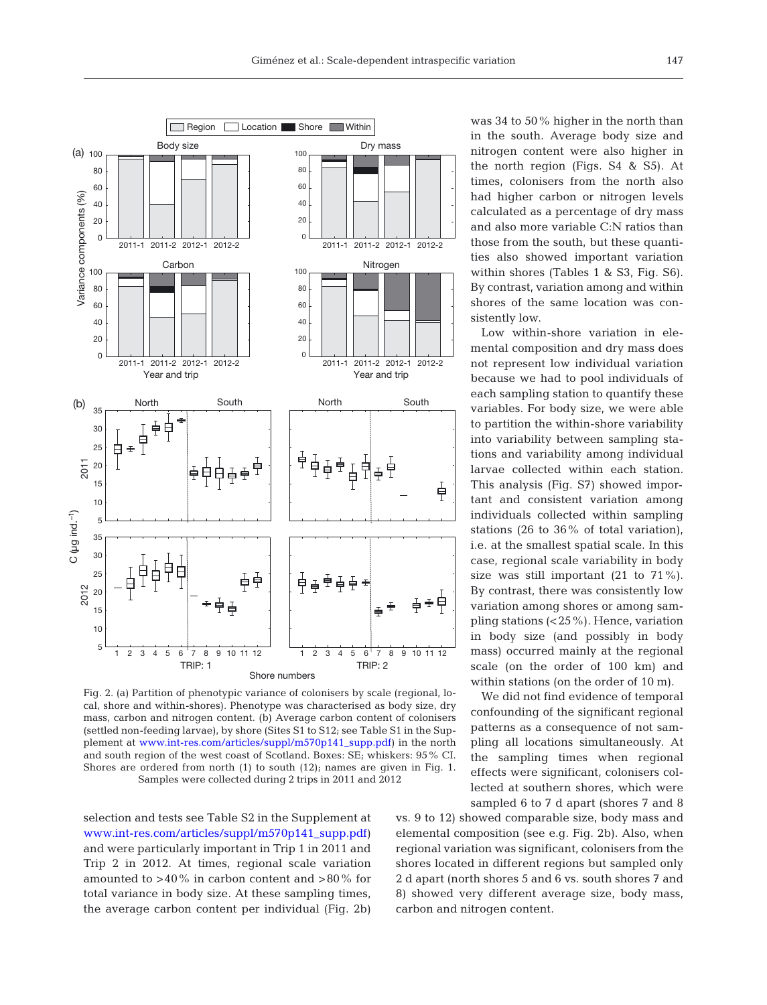

Fig. 2. (a) Partition of phenotypic variance of colonisers by scale (regional, local, shore and within-shores). Phenotype was characterised as body size, dry mass, carbon and nitrogen content. (b) Average carbon content of colonisers (settled non-feeding larvae), by shore (Sites S1 to S12; see Table S1 in the Supplement at www.int-res.com/articles/suppl/m570p141\_supp.pdf) in the north and south region of the west coast of Scotland. Boxes: SE; whiskers: 95% CI. Shores are ordered from north (1) to south (12); names are given in Fig. 1. Samples were collected during 2 trips in 2011 and 2012

selection and tests see Table S2 in the Supplement at [www.int-res.com/articles/suppl/m570p141\\_supp. pdf\)](http://www.int-res.com/articles/suppl/m570p141_supp.pdf) and were particularly important in Trip 1 in 2011 and Trip 2 in 2012. At times, regional scale variation amounted to  $>40\%$  in carbon content and  $>80\%$  for total variance in body size. At these sampling times, the average carbon content per individual (Fig. 2b)

was 34 to 50% higher in the north than in the south. Average body size and nitrogen content were also higher in the north region (Figs. S4 & S5). At times, colonisers from the north also had higher carbon or nitrogen levels calculated as a percentage of dry mass and also more variable C:N ratios than those from the south, but these quantities also showed important variation within shores (Tables 1 & S3, Fig. S6). By contrast, variation among and within shores of the same location was consistently low.

Low within-shore variation in elemental composition and dry mass does not represent low individual variation because we had to pool individuals of each sampling station to quantify these variables. For body size, we were able to partition the within-shore variability into variability between sampling stations and variability among individual larvae collected within each station. This analysis (Fig. S7) showed important and consistent variation among individuals collected within sampling stations (26 to 36% of total variation), i.e. at the smallest spatial scale. In this case, regional scale variability in body size was still important (21 to 71%). By contrast, there was consistently low variation among shores or among sampling stations (<25%). Hence, variation in body size (and possibly in body mass) occurred mainly at the regional scale (on the order of 100 km) and within stations (on the order of 10 m).

We did not find evidence of temporal confounding of the significant regional patterns as a consequence of not sampling all locations simultaneously. At the sampling times when regional effects were significant, colonisers collected at southern shores, which were sampled 6 to 7 d apart (shores 7 and 8

vs. 9 to 12) showed comparable size, body mass and elemental composition (see e.g. Fig. 2b). Also, when regional variation was significant, colonisers from the shores located in different regions but sampled only 2 d apart (north shores 5 and 6 vs. south shores 7 and 8) showed very different average size, body mass, carbon and nitrogen content.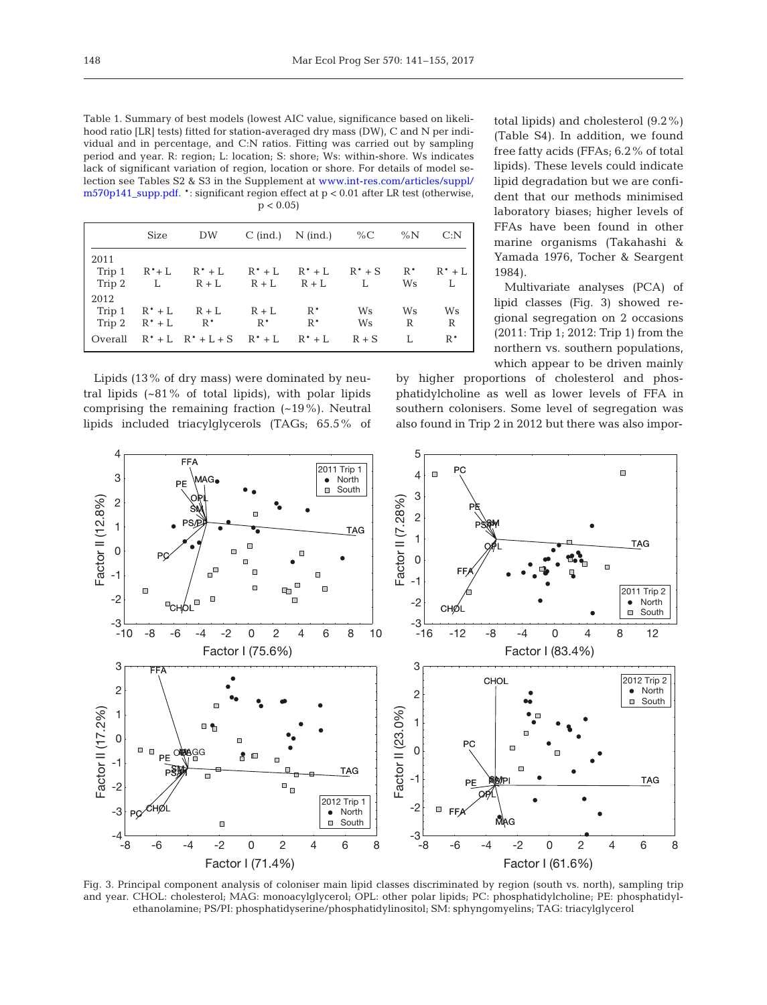Table 1. Summary of best models (lowest AIC value, significance based on likelihood ratio [LR] tests) fitted for station-averaged dry mass (DW), C and N per individual and in percentage, and C:N ratios. Fitting was carried out by sampling period and year. R: region; L: location; S: shore; Ws: within-shore. Ws indicates lack of significant variation of region, location or shore. For details of model selection see Tables S2 & S3 in the Supplement at www.int-res.com/articles/suppl/ [m570p141\\_supp.pdf.](http://www.int-res.com/articles/suppl/m570p141_supp.pdf) \*: significant region effect at p < 0.01 after LR test (otherwise,  $p < 0.05$ 

|         | Size      | DW                                    |         | $C$ (ind.) N (ind.) % $C$ |           | $\%N$ | C: N      |
|---------|-----------|---------------------------------------|---------|---------------------------|-----------|-------|-----------|
| 2011    |           |                                       |         |                           |           |       |           |
| Trip 1  | $R^*$ + L | $R^*+L$ $R^*+L$ $R^*+L$ $R^*+S$ $R^*$ |         |                           |           |       | $R^* + L$ |
|         |           | $Tip 2 L R+L R+L R+L L$               |         |                           |           | Ws    | - L       |
| 2012    |           |                                       |         |                           |           |       |           |
|         |           | Trip 1 $R^* + L$ $R + L$              | $R + L$ | $R^*$                     | <b>Ws</b> | Ws    | Ws        |
|         |           | Trip 2 $R^*$ + L $R^*$                | $R^*$   | $R^*$                     | Ws        | R     | R         |
| Overall |           | $R^*+L R^*+L+S R^*+L R^*+L$           |         |                           | $R + S$   |       | $R^*$     |
|         |           |                                       |         |                           |           |       |           |

Lipids (13% of dry mass) were dominated by neutral lipids (~81% of total lipids), with polar lipids comprising the remaining fraction  $(-19\%)$ . Neutral lipids included triacylglycerols (TAGs; 65.5% of

total lipids) and cholesterol (9.2%) (Table S4). In addition, we found free fatty acids (FFAs; 6.2% of total lipids). These levels could indicate lipid degradation but we are confident that our methods minimised laboratory biases; higher levels of FFAs have been found in other marine organisms (Takahashi & Yamada 1976, Tocher & Seargent 1984).

Multivariate analyses (PCA) of lipid classes (Fig. 3) showed regional segregation on 2 occasions (2011: Trip 1; 2012: Trip 1) from the northern vs. southern populations, which appear to be driven mainly

by higher proportions of cholesterol and phosphatidylcholine as well as lower levels of FFA in southern colonisers. Some level of segregation was also found in Trip 2 in 2012 but there was also impor-



Fig. 3. Principal component analysis of coloniser main lipid classes discriminated by region (south vs. north), sampling trip and year. CHOL: cholesterol; MAG: monoacylglycerol; OPL: other polar lipids; PC: phosphatidylcholine; PE: phosphatidylethanolamine; PS/PI: phosphatidyserine/phosphatidylinositol; SM: sphyngomyelins; TAG: triacylglycerol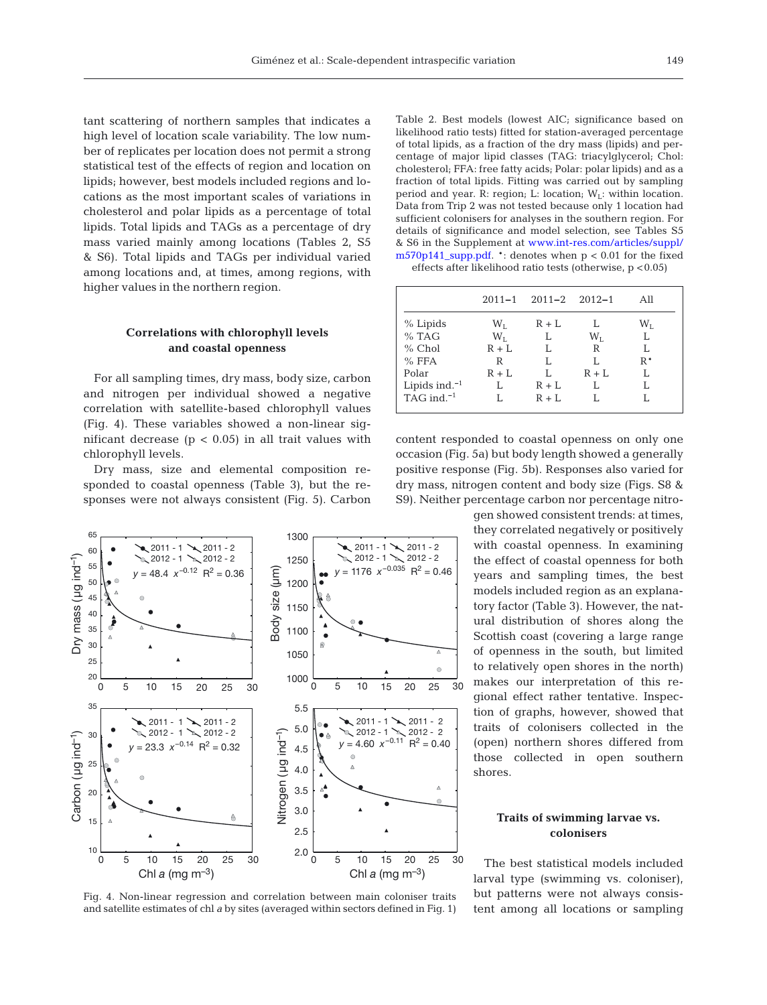tant scattering of northern samples that indicates a high level of location scale variability. The low number of replicates per location does not permit a strong statistical test of the effects of region and location on lipids; however, best models included regions and locations as the most important scales of variations in cholesterol and polar lipids as a percentage of total lipids. Total lipids and TAGs as a percentage of dry mass varied mainly among locations (Tables 2, S5 & S6). Total lipids and TAGs per individual varied among locations and, at times, among regions, with higher values in the northern region.

# **Correlations with chlorophyll levels and coastal openness**

For all sampling times, dry mass, body size, carbon and nitrogen per individual showed a negative correlation with satellite-based chlorophyll values (Fig. 4). These variables showed a non-linear sig nificant decrease ( $p < 0.05$ ) in all trait values with chlorophyll levels.

Dry mass, size and elemental composition responded to coastal openness (Table 3), but the responses were not always consistent (Fig. 5). Carbon



Fig. 4. Non-linear regression and correlation between main coloniser traits and satellite estimates of chl *a* by sites (averaged within sectors defined in Fig. 1)

Table 2. Best models (lowest AIC; significance based on likelihood ratio tests) fitted for station-averaged percentage of total lipids, as a fraction of the dry mass (lipids) and percentage of major lipid classes (TAG: triacylglycerol; Chol: cholesterol; FFA: free fatty acids; Polar: polar lipids) and as a fraction of total lipids. Fitting was carried out by sampling period and year. R: region; L: location;  $W_L$ : within location. Data from Trip 2 was not tested because only 1 location had sufficient colonisers for analyses in the southern region. For details of significance and model selection, see Tables S5 & S6 in the Supplement at www.int-res.com/articles/suppl/ [m570p141\\_supp.pdf.](http://www.int-res.com/articles/suppl/m570p141_supp.pdf) \*: denotes when p < 0.01 for the fixed effects after likelihood ratio tests (otherwise, p <0.05)

|                  |           | $2011 - 1$ $2011 - 2$ $2012 - 1$ |                 | All       |
|------------------|-----------|----------------------------------|-----------------|-----------|
| % Lipids         | $\rm W_L$ | $R + L$                          |                 | $\rm W_L$ |
| $%$ TAG          | $W_{I}$   | L                                | $\rm W_{\rm T}$ |           |
| $%$ Chol         | $R + L$   | T.                               | R               |           |
| $%$ FFA          | R         | T.                               | T.              | $R^*$     |
| Polar            | $R + L$   | I.                               | $R + L$         |           |
| Lipids ind. $-1$ | L         | $R + L$                          | T.              |           |
| TAG ind. $^{-1}$ |           | $R + L$                          |                 |           |
|                  |           |                                  |                 |           |

content responded to coastal openness on only one occasion (Fig. 5a) but body length showed a generally positive response (Fig. 5b). Responses also varied for dry mass, nitrogen content and body size (Figs. S8 & S9). Neither percentage carbon nor percentage nitro-

> gen showed consistent trends: at times, they correlated negatively or positively with coastal openness. In examining the effect of coastal openness for both years and sampling times, the best models included region as an explanatory factor (Table 3). However, the natural distribution of shores along the Scottish coast (covering a large range of openness in the south, but limited to relatively open shores in the north) makes our interpretation of this regional effect rather tentative. Inspection of graphs, however, showed that traits of colonisers collected in the (open) northern shores differed from those collected in open southern shores.

# **Traits of swimming larvae vs. colonisers**

The best statistical models included larval type (swimming vs. coloniser), but patterns were not always consistent among all locations or sampling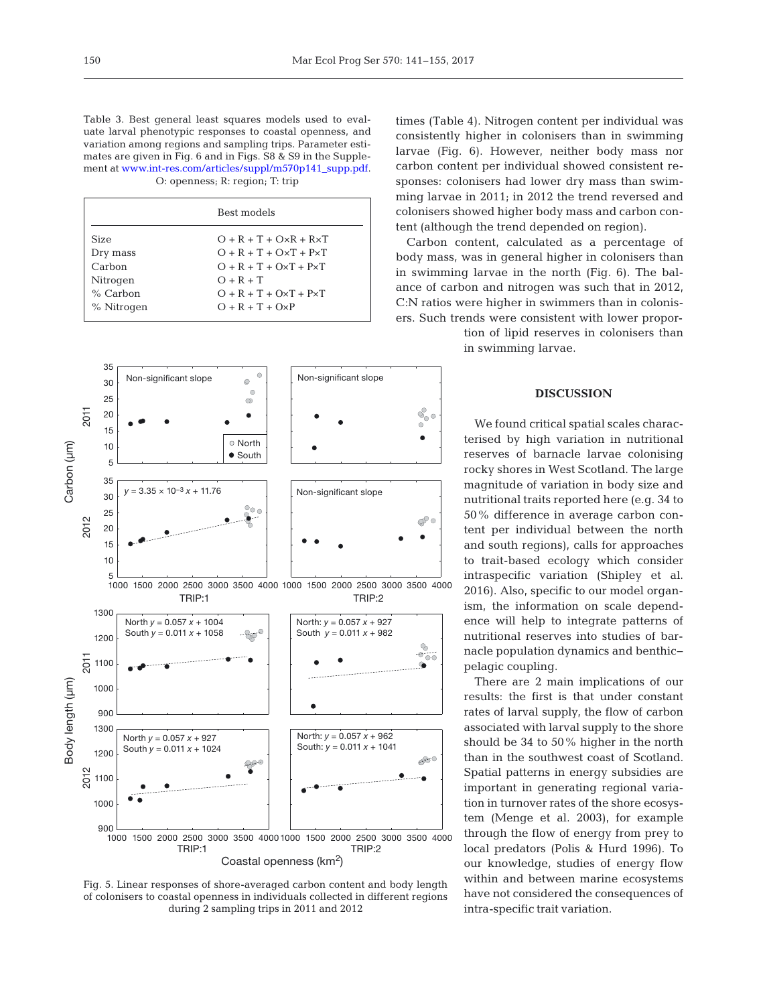Table 3. Best general least squares models used to evaluate larval phenotypic responses to coastal openness, and variation among regions and sampling trips. Parameter estimates are given in Fig. 6 and in Figs. S8 & S9 in the Supplement at [www.int-res.com/articles/suppl/m570p141\\_supp.pdf.](http://www.int-res.com/articles/suppl/m570p141_supp.pdf) O: openness; R: region; T: trip

|            | Best models             |
|------------|-------------------------|
| Size       | $O + R + T + OxR + RxT$ |
| Dry mass   | $O + R + T + OxT + PxT$ |
| Carbon     | $O + R + T + OxT + PxT$ |
| Nitrogen   | $O + R + T$             |
| $%$ Carbon | $O + R + T + OxT + PxT$ |
| % Nitrogen | $O + R + T + OxP$       |



Fig. 5. Linear responses of shore-averaged carbon content and body length of colonisers to coastal openness in individuals collected in different regions during 2 sampling trips in 2011 and 2012

times (Table 4). Nitrogen content per individual was consistently higher in colonisers than in swimming larvae (Fig. 6). However, neither body mass nor carbon content per individual showed consistent re sponses: colonisers had lower dry mass than swimming larvae in 2011; in 2012 the trend reversed and colonisers showed higher body mass and carbon content (although the trend depended on region).

Carbon content, calculated as a percentage of body mass, was in general higher in colonisers than in swimming larvae in the north (Fig. 6). The balance of carbon and nitrogen was such that in 2012, C:N ratios were higher in swimmers than in colonisers. Such trends were consistent with lower propor-

> tion of lipid reserves in colonisers than in swimming larvae.

#### **DISCUSSION**

We found critical spatial scales characterised by high variation in nutritional reserves of barnacle larvae colonising rocky shores in West Scotland. The large magnitude of variation in body size and nutritional traits reported here (e.g. 34 to 50% difference in average carbon content per individual between the north and south regions), calls for approaches to trait-based ecology which consider intra specific variation (Shipley et al. 2016). Also, specific to our model organism, the information on scale dependence will help to integrate patterns of nutritional reserves into studies of barnacle population dynamics and benthic− pelagic coupling.

There are 2 main implications of our results: the first is that under constant rates of larval supply, the flow of carbon associated with larval supply to the shore should be 34 to 50% higher in the north than in the southwest coast of Scotland. Spatial patterns in energy subsidies are important in generating regional variation in turnover rates of the shore ecosystem (Menge et al. 2003), for example through the flow of energy from prey to local predators (Polis & Hurd 1996). To our knowledge, studies of energy flow within and between marine ecosystems have not considered the consequences of intra-specific trait variation.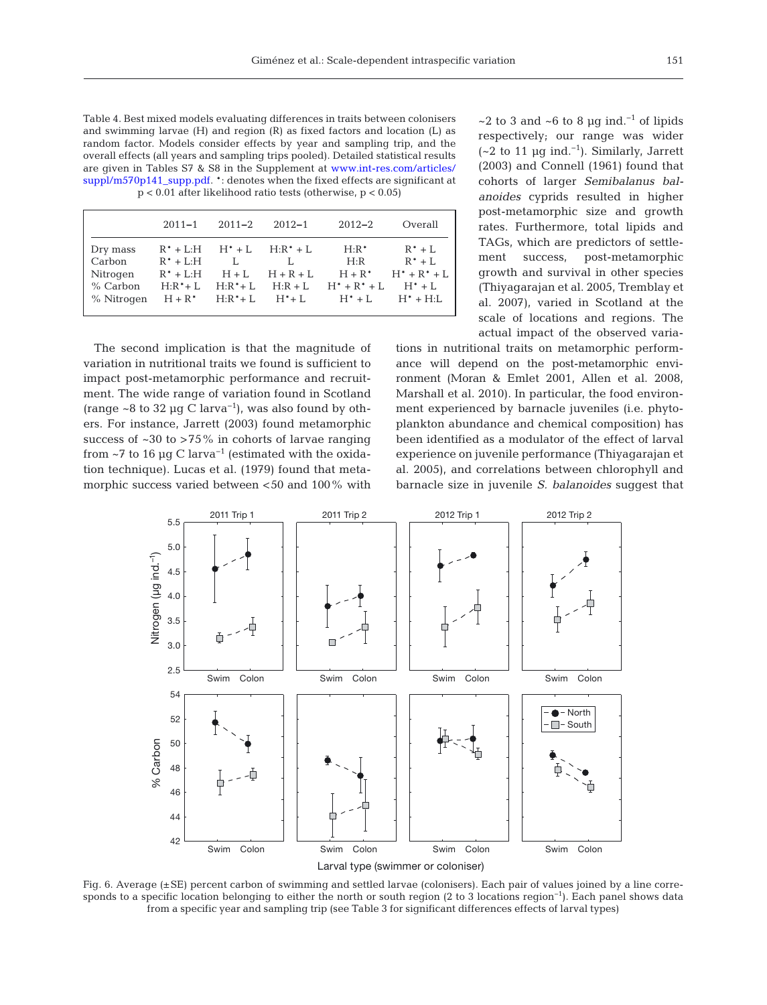Table 4. Best mixed models evaluating differences in traits between colonisers and swimming larvae (H) and region (R) as fixed factors and location (L) as random factor. Models consider effects by year and sampling trip, and the overall effects (all years and sampling trips pooled). Detailed statistical results are given in Tables S7  $\&$  S8 in the Supplement at www.int-res.com/articles/ [suppl/m570p141\\_supp.pdf.](http://www.int-res.com/articles/suppl/m570p141_supp.pdf) \*: denotes when the fixed effects are significant at p < 0.01 after likelihood ratio tests (otherwise, p < 0.05)

|                                                            | $2011 - 1$                              | $2011 - 2$                                                         | $2012 - 1$                                     | $2012 - 2$                                               | Overall                                                                          |
|------------------------------------------------------------|-----------------------------------------|--------------------------------------------------------------------|------------------------------------------------|----------------------------------------------------------|----------------------------------------------------------------------------------|
| Dry mass<br>Carbon<br>Nitrogen<br>$%$ Carbon<br>% Nitrogen | $R^* + L:H$<br>$R^* + L:H$<br>$H:R^*+L$ | $R^* + L: H$ $H^* + L$ $H: R^* + L$<br>L<br>$H + L$<br>$H:R^* + L$ | L.<br>$H + R + L$<br>$H+R^*$ $H:R^*+L$ $H^*+L$ | $H:R^*$<br>H:R<br>$H:R + L$ $H^* + R^* + L$<br>$H^* + L$ | $R^* + L$<br>$R^* + L$<br>$H + R^*$ $H^* + R^* + L$<br>$H^* + L$<br>$H^* + H: L$ |

The second implication is that the magnitude of variation in nutritional traits we found is sufficient to impact post-metamorphic performance and recruitment. The wide range of variation found in Scotland (range ~8 to 32 µg C larva<sup>-1</sup>), was also found by others. For instance, Jarrett (2003) found metamorphic success of  $~30$  to  $~5\%$  in cohorts of larvae ranging from ~7 to 16  $\mu$ g C larva<sup>-1</sup> (estimated with the oxidation technique). Lucas et al. (1979) found that metamorphic success varied between <50 and 100% with ~2 to 3 and ~6 to 8  $\mu$ g ind.<sup>-1</sup> of lipids respectively; our range was wider  $(-2$  to 11 µg ind.<sup>-1</sup>). Similarly, Jarrett (2003) and Connell (1961) found that cohorts of larger *Semibalanus balanoides* cyprids resulted in higher post-metamorphic size and growth rates. Furthermore, total lipids and TAGs, which are predictors of settlement success, post-metamorphic growth and survival in other species (Thiyagarajan et al. 2005, Tremblay et al. 2007), varied in Scotland at the scale of locations and regions. The actual impact of the observed varia-

tions in nutritional traits on metamorphic performance will depend on the post-metamorphic environment (Moran & Emlet 2001, Allen et al. 2008, Marshall et al. 2010). In particular, the food environment experienced by barnacle juveniles (i.e. phytoplankton abundance and chemical composition) has been identified as a modulator of the effect of larval experience on juvenile performance (Thiyagarajan et al. 2005), and correlations between chlorophyll and barnacle size in juvenile *S. balanoides* suggest that



Fig. 6. Average (±SE) percent carbon of swimming and settled larvae (colonisers). Each pair of values joined by a line corresponds to a specific location belonging to either the north or south region (2 to 3 locations region<sup>-1</sup>). Each panel shows data from a specific year and sampling trip (see Table 3 for significant differences effects of larval types)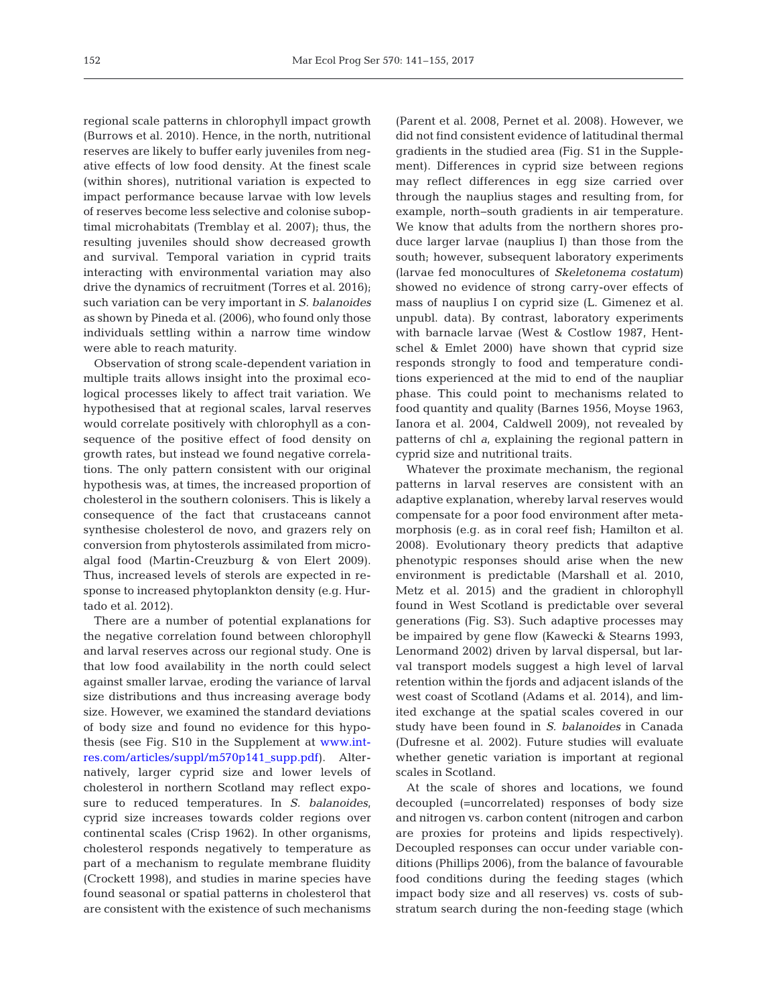regional scale patterns in chlorophyll impact growth (Burrows et al. 2010). Hence, in the north, nutritional reserves are likely to buffer early juveniles from negative effects of low food density. At the finest scale (within shores), nutritional variation is expected to impact performance because larvae with low levels of reserves become less selective and colonise suboptimal microhabitats (Tremblay et al. 2007); thus, the resulting juveniles should show decreased growth and survival. Temporal variation in cyprid traits interacting with environmental variation may also drive the dynamics of recruitment (Torres et al. 2016); such variation can be very important in *S. balanoides* as shown by Pineda et al. (2006), who found only those individuals settling within a narrow time window were able to reach maturity.

Observation of strong scale-dependent variation in multiple traits allows insight into the proximal ecological processes likely to affect trait variation. We hypothesised that at regional scales, larval reserves would correlate positively with chlorophyll as a consequence of the positive effect of food density on growth rates, but instead we found negative correlations. The only pattern consistent with our original hypothesis was, at times, the increased proportion of cholesterol in the southern colonisers. This is likely a consequence of the fact that crustaceans cannot synthesise cholesterol de novo, and grazers rely on conversion from phytosterols assimilated from microalgal food (Martin-Creuzburg & von Elert 2009). Thus, increased levels of sterols are expected in response to increased phytoplankton density (e.g. Hurtado et al. 2012).

There are a number of potential explanations for the negative correlation found between chlorophyll and larval reserves across our regional study. One is that low food availability in the north could select against smaller larvae, eroding the variance of larval size distributions and thus increasing average body size. However, we examined the standard deviations of body size and found no evidence for this hypo thesis (see Fig. S10 in the Supplement at [www.int](http://www.int-res.com/articles/suppl/m570p141_supp.pdf)[res.com/articles/suppl/m570p141\\_supp.pdf\)](http://www.int-res.com/articles/suppl/m570p141_supp.pdf). Alternatively, larger cyprid size and lower levels of cholesterol in northern Scotland may reflect exposure to reduced temperatures. In *S. balanoides*, cyprid size increases towards colder regions over continental scales (Crisp 1962). In other organisms, cholesterol responds negatively to temperature as part of a mechanism to regulate membrane fluidity (Crockett 1998), and studies in marine species have found seasonal or spatial patterns in cholesterol that are consistent with the existence of such mechanisms

(Parent et al. 2008, Pernet et al. 2008). However, we did not find consistent evidence of latitudinal thermal gradients in the studied area (Fig. S1 in the Supplement). Differences in cyprid size between regions may reflect differences in egg size carried over through the nauplius stages and resulting from, for example, north−south gradients in air temperature. We know that adults from the northern shores produce larger larvae (nauplius I) than those from the south; however, subsequent laboratory experiments (larvae fed monocultures of *Skeletonema costatum*) showed no evidence of strong carry-over effects of mass of nauplius I on cyprid size (L. Gimenez et al. unpubl. data). By contrast, laboratory experiments with barnacle larvae (West & Costlow 1987, Hentschel & Emlet 2000) have shown that cyprid size responds strongly to food and temperature conditions experienced at the mid to end of the naupliar phase. This could point to mechanisms related to food quantity and quality (Barnes 1956, Moyse 1963, Ianora et al. 2004, Caldwell 2009), not revealed by patterns of chl *a*, explaining the regional pattern in cyprid size and nutritional traits.

Whatever the proximate mechanism, the regional patterns in larval reserves are consistent with an adaptive explanation, whereby larval reserves would compensate for a poor food environment after metamorphosis (e.g. as in coral reef fish; Hamilton et al. 2008). Evolutionary theory predicts that adaptive phenotypic responses should arise when the new environment is predictable (Marshall et al. 2010, Metz et al. 2015) and the gradient in chlorophyll found in West Scotland is predictable over several generations (Fig. S3). Such adaptive processes may be impaired by gene flow (Kawecki & Stearns 1993, Lenormand 2002) driven by larval dispersal, but larval transport models suggest a high level of larval retention within the fjords and adjacent islands of the west coast of Scotland (Adams et al. 2014), and limited exchange at the spatial scales covered in our study have been found in *S. balanoides* in Canada (Dufresne et al. 2002). Future studies will evaluate whether genetic variation is important at regional scales in Scotland.

At the scale of shores and locations, we found decoupled (=uncorrelated) responses of body size and nitrogen vs. carbon content (nitrogen and carbon are proxies for proteins and lipids respectively). Decoupled responses can occur under variable conditions (Phillips 2006), from the balance of favourable food conditions during the feeding stages (which impact body size and all reserves) vs. costs of substratum search during the non-feeding stage (which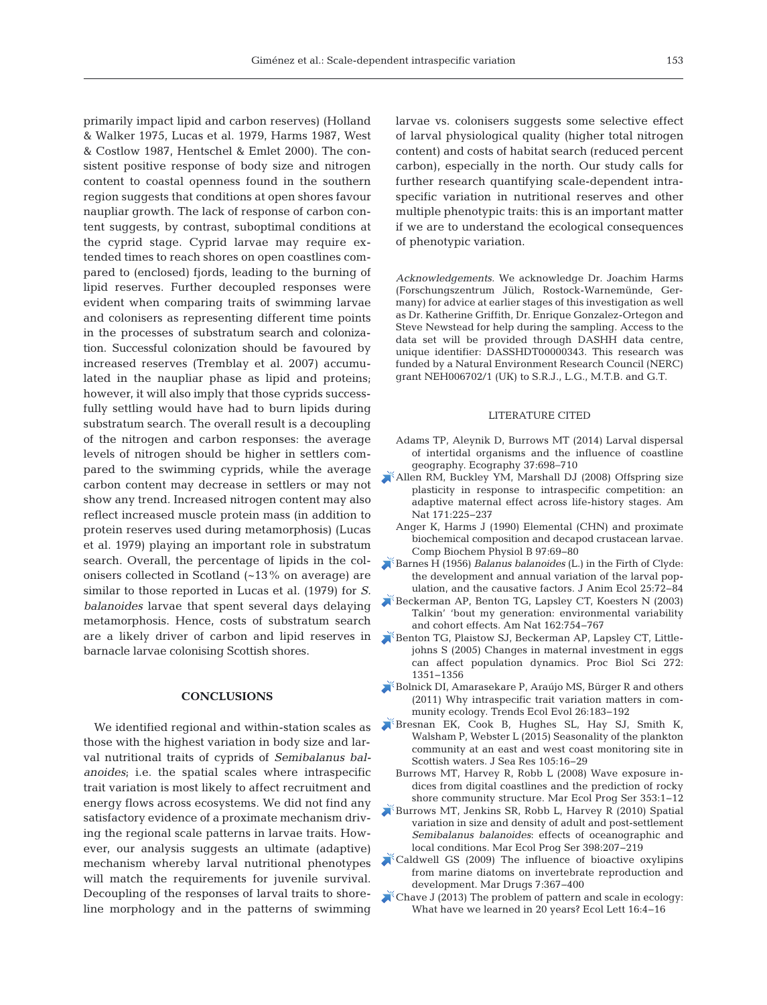primarily impact lipid and carbon reserves) (Holland & Walker 1975, Lucas et al. 1979, Harms 1987, West & Costlow 1987, Hentschel & Emlet 2000). The consistent positive response of body size and nitrogen content to coastal openness found in the southern region suggests that conditions at open shores favour naupliar growth. The lack of response of carbon content suggests, by contrast, suboptimal conditions at the cyprid stage. Cyprid larvae may require extended times to reach shores on open coastlines compared to (enclosed) fjords, leading to the burning of lipid reserves. Further decoupled responses were evident when comparing traits of swimming larvae and colonisers as representing different time points in the processes of substratum search and colonization. Successful colonization should be favoured by increased reserves (Tremblay et al. 2007) accumulated in the naupliar phase as lipid and proteins; however, it will also imply that those cyprids successfully settling would have had to burn lipids during substratum search. The overall result is a decoupling of the nitrogen and carbon responses: the average levels of nitrogen should be higher in settlers compared to the swimming cyprids, while the average carbon content may decrease in settlers or may not show any trend. Increased nitrogen content may also reflect increased muscle protein mass (in addition to protein reserves used during metamorphosis) (Lucas et al. 1979) playing an important role in substratum search. Overall, the percentage of lipids in the colonisers collected in Scotland (~13% on average) are similar to those reported in Lucas et al. (1979) for *S. balanoides* larvae that spent several days delaying metamorphosis. Hence, costs of substratum search are a likely driver of carbon and lipid reserves in barnacle larvae colonising Scottish shores.

# **CONCLUSIONS**

We identified regional and within-station scales as those with the highest variation in body size and larval nutritional traits of cyprids of *Semibalanus balanoides*; i.e. the spatial scales where intraspecific trait variation is most likely to affect recruitment and energy flows across ecosystems. We did not find any satisfactory evidence of a proximate mechanism driving the regional scale patterns in larvae traits. However, our analysis suggests an ultimate (adaptive) mechanism whereby larval nutritional phenotypes will match the requirements for juvenile survival. Decoupling of the responses of larval traits to shoreline morphology and in the patterns of swimming

larvae vs. colonisers suggests some selective effect of larval physiological quality (higher total nitrogen content) and costs of habitat search (reduced percent carbon), especially in the north. Our study calls for further research quantifying scale-dependent intraspecific variation in nutritional reserves and other multiple phenotypic traits: this is an important matter if we are to understand the ecological consequences of phenotypic variation.

*Acknowledgements.* We acknowledge Dr. Joachim Harms (Forschungszentrum Jülich, Rostock-Warnemünde, Germany) for advice at earlier stages of this investigation as well as Dr. Katherine Griffith, Dr. Enrique Gonzalez-Ortegon and Steve Newstead for help during the sampling. Access to the data set will be provided through DASHH data centre, unique identifier: DASSHDT00000343. This research was funded by a Natural Environment Research Council (NERC) grant NEH006702/1 (UK) to S.R.J., L.G., M.T.B. and G.T.

#### LITERATURE CITED

- Adams TP, Aleynik D, Burrows MT (2014) Larval dispersal of intertidal organisms and the influence of coastline geography. Ecography 37:698-710
- [Allen RM, Buckley YM, Marshall DJ \(2008\) Offspring size](https://www.ncbi.nlm.nih.gov/entrez/query.fcgi?cmd=Retrieve&db=PubMed&list_uids=18197775&dopt=Abstract) plasticity in response to intraspecific competition: an adaptive maternal effect across life-history stages. Am Nat 171:225-237
- Anger K, Harms J (1990) Elemental (CHN) and proximate biochemical composition and decapod crustacean larvae. Comp Biochem Physiol B 97:69-80
- Barnes H (1956) *Balanus balanoides* [\(L.\) in the Firth of Clyde:](https://doi.org/10.2307/1851)  the development and annual variation of the larval population, and the causative factors. J Anim Ecol 25:72-84
- [Beckerman AP, Benton TG, Lapsley CT, Koesters N \(2003\)](https://www.ncbi.nlm.nih.gov/entrez/query.fcgi?cmd=Retrieve&db=PubMed&list_uids=14737713&dopt=Abstract) Talkin' 'bout my generation: environmental variability and cohort effects. Am Nat 162: 754−767
- [Benton TG, Plaistow SJ, Beckerman AP, Lapsley CT, Little](https://www.ncbi.nlm.nih.gov/entrez/query.fcgi?cmd=Retrieve&db=PubMed&list_uids=16006330&dopt=Abstract)johns S (2005) Changes in maternal investment in eggs can affect population dynamics. Proc Biol Sci 272: 1351−1356
- [Bolnick DI, Amarasekare P, Araújo MS, Bürger R and others](https://www.ncbi.nlm.nih.gov/entrez/query.fcgi?cmd=Retrieve&db=PubMed&list_uids=21367482&dopt=Abstract) (2011) Why intraspecific trait variation matters in community ecology. Trends Ecol Evol 26: 183−192
- [Bresnan EK, Cook B, Hughes SL, Hay SJ, Smith K,](https://doi.org/10.1016/j.seares.2015.06.009)  Walsham P, Webster L (2015) Seasonality of the plankton community at an east and west coast monitoring site in Scottish waters. J Sea Res 105:16-29
	- Burrows MT, Harvey R, Robb L (2008) Wave exposure in dices from digital coastlines and the prediction of rocky shore community structure. Mar Ecol Prog Ser 353: 1−12
- [Burrows MT, Jenkins SR, Robb L, Harvey R \(2010\) Spatial](https://doi.org/10.3354/meps08340) variation in size and density of adult and post-settlement *Semibalanus balanoides*: effects of oceanographic and local conditions. Mar Ecol Prog Ser 398:207-219
- [Caldwell GS \(2009\) The influence of bioactive oxylipins](https://www.ncbi.nlm.nih.gov/entrez/query.fcgi?cmd=Retrieve&db=PubMed&list_uids=19841721&dopt=Abstract) from marine diatoms on invertebrate reproduction and development. Mar Drugs 7: 367−400
- [Chave J \(2013\) The problem of pattern and scale in ecology:](https://www.ncbi.nlm.nih.gov/entrez/query.fcgi?cmd=Retrieve&db=PubMed&list_uids=23351093&dopt=Abstract)  What have we learned in 20 years? Ecol Lett 16:4-16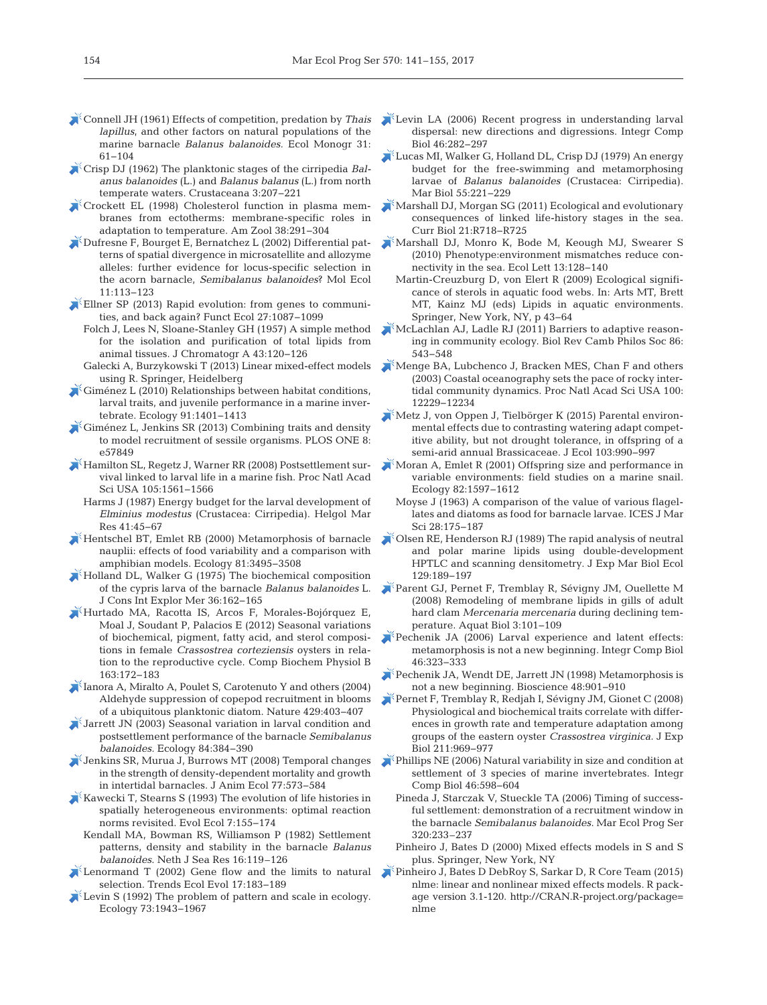- [Connell JH \(1961\) Effects of competition, predation by](https://doi.org/10.2307/1950746) *Thais lapillus*, and other factors on natural populations of the marine barnacle *Balanus balanoides.* Ecol Monogr 31: 61−104
- [Crisp DJ \(1962\) The planktonic stages of the cirripedia](https://doi.org/10.1163/156854062X00436) *Balanus balanoides* (L.) and *Balanus balanus* (L.) from north temperate waters. Crustaceana 3: 207−221
- [Crockett EL \(1998\) Cholesterol function in plasma mem](https://doi.org/10.1093/icb/38.2.291)branes from ectotherms: membrane-specific roles in adaptation to temperature. Am Zool 38: 291−304
- [Dufresne F, Bourget E, Bernatchez L \(2002\) Differential pat](https://www.ncbi.nlm.nih.gov/entrez/query.fcgi?cmd=Retrieve&db=PubMed&list_uids=11903909&dopt=Abstract)terns of spatial divergence in microsatellite and allozyme alleles: further evidence for locus-specific selection in the acorn barnacle, *Semibalanus balanoides*? Mol Ecol 11: 113−123
- $\blacktriangleright$  Ellner SP (2013) Rapid evolution: from genes to communities, and back again? Funct Ecol 27: 1087−1099
	- Folch J, Lees N, Sloane-Stanley GH (1957) A simple method for the isolation and purification of total lipids from animal tissues. J Chromatogr A 43: 120−126
	- Galecki A, Burzykowski T (2013) Linear mixed-effect models using R. Springer, Heidelberg
- [Giménez L \(2010\) Relationships between habitat conditions,](https://www.ncbi.nlm.nih.gov/entrez/query.fcgi?cmd=Retrieve&db=PubMed&list_uids=20503872&dopt=Abstract) larval traits, and juvenile performance in a marine invertebrate. Ecology 91: 1401−1413
- [Giménez L, Jenkins SR \(2013\) Combining traits and density](https://www.ncbi.nlm.nih.gov/entrez/query.fcgi?cmd=Retrieve&db=PubMed&list_uids=23469247&dopt=Abstract) to model recruitment of sessile organisms. PLOS ONE 8: e57849
- [Hamilton SL, Regetz J, Warner RR \(2008\) Postsettlement sur](https://www.ncbi.nlm.nih.gov/entrez/query.fcgi?cmd=Retrieve&db=PubMed&list_uids=18230727&dopt=Abstract)vival linked to larval life in a marine fish. Proc Natl Acad Sci USA 105: 1561−1566
	- Harms J (1987) Energy budget for the larval development of *Elminius modestus* (Crustacea:Cirripedia). Helgol Mar Res 41:45-67
- [Hentschel BT, Emlet RB \(2000\) Metamorphosis of barnacle](https://doi.org/10.1890/0012-9658(2000)081%5b3495%3AMOBNEO%5d2.0.CO%3B2) nauplii: effects of food variability and a comparison with amphibian models. Ecology 81: 3495−3508
- $\blacktriangleright$  [Holland DL, Walker G \(1975\) The biochemical composition](https://doi.org/10.1093/icesjms/36.2.162) of the cypris larva of the barnacle *Balanus balanoides* L. J Cons Int Explor Mer 36: 162−165
- [Hurtado MA, Racotta IS, Arcos F, Morales-Bojórquez E,](https://www.ncbi.nlm.nih.gov/entrez/query.fcgi?cmd=Retrieve&db=PubMed&list_uids=22613818&dopt=Abstract) Moal J, Soudant P, Palacios E (2012) Seasonal variations of biochemical, pigment, fatty acid, and sterol compositions in female *Crassostrea corteziensis* oysters in relation to the reproductive cycle. Comp Biochem Physiol B 163: 172−183
- [Ianora A, Miralto A, Poulet S, Carotenuto Y and others \(2004\)](https://www.ncbi.nlm.nih.gov/entrez/query.fcgi?cmd=Retrieve&db=PubMed&list_uids=15164060&dopt=Abstract) Aldehyde suppression of copepod recruitment in blooms of a ubiquitous planktonic diatom. Nature 429:403-407
- [Jarrett JN \(2003\) Seasonal variation in larval condition and](https://doi.org/10.1890/0012-9658(2003)084%5b0384%3ASVILCA%5d2.0.CO%3B2) postsettlement performance of the barnacle *Semibalanus balanoides.* Ecology 84:384-390
- [Jenkins SR, Murua J, Burrows MT \(2008\) Temporal changes](https://www.ncbi.nlm.nih.gov/entrez/query.fcgi?cmd=Retrieve&db=PubMed&list_uids=18284479&dopt=Abstract) in the strength of density-dependent mortality and growth in intertidal barnacles. J Anim Ecol 77: 573−584
- $\mathbb{R}^k$  [Kawecki T, Stearns S \(1993\) The evolution of life histories in](https://doi.org/10.1007/BF01239386) spatially heterogeneous environments: optimal reaction norms revisited. Evol Ecol 7: 155−174
	- Kendall MA, Bowman RS, Williamson P (1982) Settlement patterns, density and stability in the barnacle *Balanus balanoides*. Neth J Sea Res 16:119–126
- Lenormand T  $(2002)$  Gene flow and the limits to natural selection. Trends Ecol Evol 17: 183−189
- [Levin S \(1992\) The problem of pattern and scale in ecology.](https://doi.org/10.2307/1941447) Ecology 73: 1943−1967
- [Levin LA \(2006\) Recent progress in understanding larval](https://www.ncbi.nlm.nih.gov/entrez/query.fcgi?cmd=Retrieve&db=PubMed&list_uids=21672742&dopt=Abstract) dispersal: new directions and digressions. Integr Comp Biol 46: 282−297
- [Lucas MI, Walker G, Holland DL, Crisp DJ \(1979\) An energy](https://doi.org/10.1007/BF00396822) budget for the free-swimming and metamorphosing larvae of *Balanus balanoides* (Crustacea: Cirripedia). Mar Biol 55:221-229
- [Marshall DJ, Morgan SG \(2011\) Ecological and evolutionary](https://www.ncbi.nlm.nih.gov/entrez/query.fcgi?cmd=Retrieve&db=PubMed&list_uids=21959162&dopt=Abstract) consequences of linked life-history stages in the sea. Curr Biol 21: R718−R725
- [Marshall DJ, Monro K, Bode M, Keough MJ, Swearer S](https://www.ncbi.nlm.nih.gov/entrez/query.fcgi?cmd=Retrieve&db=PubMed&list_uids=19968695&dopt=Abstract) (2010) Phenotype: environment mismatches reduce connectivity in the sea. Ecol Lett 13: 128−140
	- Martin-Creuzburg D, von Elert R (2009) Ecological significance of sterols in aquatic food webs. In:Arts MT, Brett MT, Kainz MJ (eds) Lipids in aquatic environments. Springer, New York, NY, p 43−64
- [McLachlan AJ, Ladle RJ \(2011\) Barriers to adaptive reason](https://www.ncbi.nlm.nih.gov/entrez/query.fcgi?cmd=Retrieve&db=PubMed&list_uids=20955361&dopt=Abstract)ing in community ecology. Biol Rev Camb Philos Soc 86: 543−548
- [Menge BA, Lubchenco J, Bracken MES, Chan F and others](https://www.ncbi.nlm.nih.gov/entrez/query.fcgi?cmd=Retrieve&db=PubMed&list_uids=14512513&dopt=Abstract) (2003) Coastal oceanography sets the pace of rocky intertidal community dynamics. Proc Natl Acad Sci USA 100: 12229−12234
- [Metz J, von Oppen J, Tielbörger K \(2015\) Parental environ](https://doi.org/10.1111/1365-2745.12411)mental effects due to contrasting watering adapt competitive ability, but not drought tolerance, in offspring of a semi-arid annual Brassicaceae. J Ecol 103:990-997
- [Moran A, Emlet R \(2001\) Offspring size and performance in](https://doi.org/10.1890/0012-9658(2001)082%5b1597%3AOSAPIV%5d2.0.CO%3B2) variable environments: field studies on a marine snail. Ecology 82: 1597−1612
	- Moyse J (1963) A comparison of the value of various flagellates and diatoms as food for barnacle larvae. ICES J Mar Sci 28: 175−187
- [Olsen RE, Henderson RJ \(1989\) The rapid analysis of neutral](https://doi.org/10.1016/0022-0981(89)90056-7) and polar marine lipids using double-development HPTLC and scanning densitometry. J Exp Mar Biol Ecol 129: 189−197
- [Parent GJ, Pernet F, Tremblay R, Sévigny JM, Ouellette M](https://doi.org/10.3354/ab00073) (2008) Remodeling of membrane lipids in gills of adult hard clam *Mercenaria mercenaria* during declining temperature. Aquat Biol 3: 101−109
- [Pechenik JA \(2006\) Larval experience and latent effects:](https://www.ncbi.nlm.nih.gov/entrez/query.fcgi?cmd=Retrieve&db=PubMed&list_uids=21672745&dopt=Abstract)  metamorphosis is not a new beginning. Integr Comp Biol 46: 323−333
- $$$ [Pechenik JA, Wendt DE, Jarrett JN \(1998\) Metamorphosis is](https://doi.org/10.2307/1313294) not a new beginning. Bioscience 48: 901−910
- [Pernet F, Tremblay R, Redjah I, Sévigny JM, Gionet C \(2008\)](https://www.ncbi.nlm.nih.gov/entrez/query.fcgi?cmd=Retrieve&db=PubMed&list_uids=18310122&dopt=Abstract) Physiological and biochemical traits correlate with differences in growth rate and temperature adaptation among groups of the eastern oyster *Crassostrea virginica.* J Exp Biol 211:969-977
- [Phillips NE \(2006\) Natural variability in size and condition at](https://www.ncbi.nlm.nih.gov/entrez/query.fcgi?cmd=Retrieve&db=PubMed&list_uids=21672770&dopt=Abstract) settlement of 3 species of marine invertebrates. Integr Comp Biol 46:598-604
	- Pineda J, Starczak V, Stueckle TA (2006) Timing of successful settlement: demonstration of a recruitment window in the barnacle *Semibalanus balanoides*. Mar Ecol Prog Ser 320:233–237
	- Pinheiro J, Bates D (2000) Mixed effects models in S and S plus. Springer, New York, NY
- [Pinheiro J, Bates D DebRoy S, Sarkar D, R Core Team \(2015\)](http://CRAN.R-project.org/package=nlme) nlme: linear and nonlinear mixed effects models. R package version 3.1-120. http://CRAN.R-project.org/package= nlme